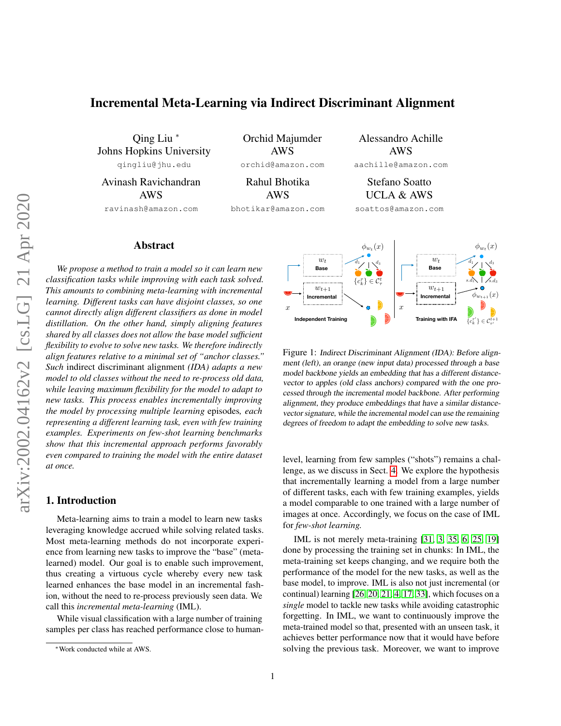# Incremental Meta-Learning via Indirect Discriminant Alignment

Qing Liu <sup>∗</sup> Johns Hopkins University

qingliu@jhu.edu

Avinash Ravichandran AWS

ravinash@amazon.com

Orchid Majumder AWS orchid@amazon.com

Rahul Bhotika AWS

bhotikar@amazon.com

Alessandro Achille AWS aachille@amazon.com

Stefano Soatto UCLA & AWS soattos@amazon.com

<span id="page-0-0"></span>

Figure 1: Indirect Discriminant Alignment (IDA): Before alignment (left), an orange (new input data) processed through a base model backbone yields an embedding that has a different distancevector to apples (old class anchors) compared with the one processed through the incremental model backbone. After performing alignment, they produce embeddings that have a similar distancevector signature, while the incremental model can use the remaining degrees of freedom to adapt the embedding to solve new tasks.

level, learning from few samples ("shots") remains a challenge, as we discuss in Sect. [4.](#page-7-0) We explore the hypothesis that incrementally learning a model from a large number of different tasks, each with few training examples, yields a model comparable to one trained with a large number of images at once. Accordingly, we focus on the case of IML for *few-shot learning.*

IML is not merely meta-training [\[31,](#page-9-0) [3,](#page-8-0) [35,](#page-9-1) [6,](#page-8-1) [25,](#page-9-2) [19\]](#page-9-3) done by processing the training set in chunks: In IML, the meta-training set keeps changing, and we require both the performance of the model for the new tasks, as well as the base model, to improve. IML is also not just incremental (or continual) learning [\[26,](#page-9-4) [20,](#page-9-5) [21,](#page-9-6) [4,](#page-8-2) [17,](#page-9-7) [33\]](#page-9-8), which focuses on a *single* model to tackle new tasks while avoiding catastrophic forgetting. In IML, we want to continuously improve the meta-trained model so that, presented with an unseen task, it achieves better performance now that it would have before solving the previous task. Moreover, we want to improve

# Abstract

*We propose a method to train a model so it can learn new classification tasks while improving with each task solved. This amounts to combining meta-learning with incremental learning. Different tasks can have disjoint classes, so one cannot directly align different classifiers as done in model distillation. On the other hand, simply aligning features shared by all classes does not allow the base model sufficient flexibility to evolve to solve new tasks. We therefore indirectly align features relative to a minimal set of "anchor classes." Such* indirect discriminant alignment *(IDA) adapts a new model to old classes without the need to re-process old data, while leaving maximum flexibility for the model to adapt to new tasks. This process enables incrementally improving the model by processing multiple learning* episodes*, each representing a different learning task, even with few training examples. Experiments on few-shot learning benchmarks show that this incremental approach performs favorably even compared to training the model with the entire dataset at once.*

## 1. Introduction

Meta-learning aims to train a model to learn new tasks leveraging knowledge accrued while solving related tasks. Most meta-learning methods do not incorporate experience from learning new tasks to improve the "base" (metalearned) model. Our goal is to enable such improvement, thus creating a virtuous cycle whereby every new task learned enhances the base model in an incremental fashion, without the need to re-process previously seen data. We call this *incremental meta-learning* (IML).

While visual classification with a large number of training samples per class has reached performance close to human-

<sup>∗</sup>Work conducted while at AWS.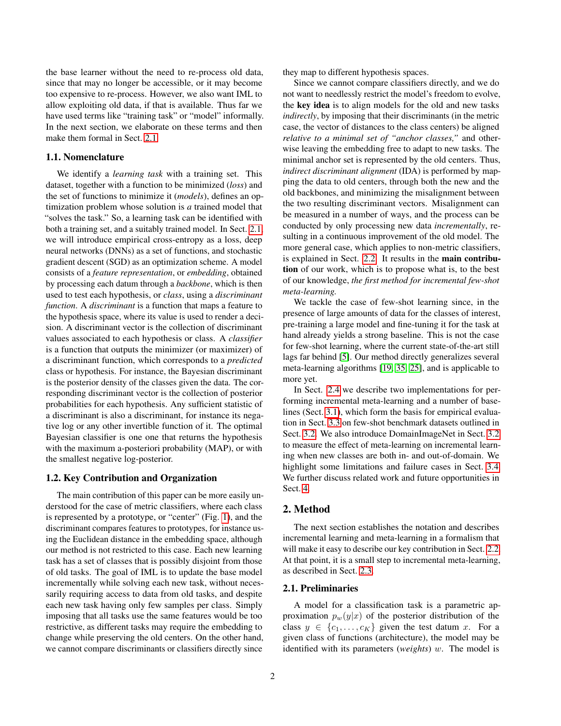the base learner without the need to re-process old data, since that may no longer be accessible, or it may become too expensive to re-process. However, we also want IML to allow exploiting old data, if that is available. Thus far we have used terms like "training task" or "model" informally. In the next section, we elaborate on these terms and then make them formal in Sect. [2.1.](#page-1-0)

#### 1.1. Nomenclature

We identify a *learning task* with a training set. This dataset, together with a function to be minimized (*loss*) and the set of functions to minimize it (*models*), defines an optimization problem whose solution is *a* trained model that "solves the task." So, a learning task can be identified with both a training set, and a suitably trained model. In Sect. [2.1,](#page-1-0) we will introduce empirical cross-entropy as a loss, deep neural networks (DNNs) as a set of functions, and stochastic gradient descent (SGD) as an optimization scheme. A model consists of a *feature representation*, or *embedding*, obtained by processing each datum through a *backbone*, which is then used to test each hypothesis, or *class*, using a *discriminant function*. A *discriminant* is a function that maps a feature to the hypothesis space, where its value is used to render a decision. A discriminant vector is the collection of discriminant values associated to each hypothesis or class. A *classifier* is a function that outputs the minimizer (or maximizer) of a discriminant function, which corresponds to a *predicted* class or hypothesis. For instance, the Bayesian discriminant is the posterior density of the classes given the data. The corresponding discriminant vector is the collection of posterior probabilities for each hypothesis. Any sufficient statistic of a discriminant is also a discriminant, for instance its negative log or any other invertible function of it. The optimal Bayesian classifier is one one that returns the hypothesis with the maximum a-posteriori probability (MAP), or with the smallest negative log-posterior.

#### 1.2. Key Contribution and Organization

The main contribution of this paper can be more easily understood for the case of metric classifiers, where each class is represented by a prototype, or "center" (Fig. [1\)](#page-0-0), and the discriminant compares features to prototypes, for instance using the Euclidean distance in the embedding space, although our method is not restricted to this case. Each new learning task has a set of classes that is possibly disjoint from those of old tasks. The goal of IML is to update the base model incrementally while solving each new task, without necessarily requiring access to data from old tasks, and despite each new task having only few samples per class. Simply imposing that all tasks use the same features would be too restrictive, as different tasks may require the embedding to change while preserving the old centers. On the other hand, we cannot compare discriminants or classifiers directly since

they map to different hypothesis spaces.

Since we cannot compare classifiers directly, and we do not want to needlessly restrict the model's freedom to evolve, the key idea is to align models for the old and new tasks *indirectly*, by imposing that their discriminants (in the metric case, the vector of distances to the class centers) be aligned *relative to a minimal set of "anchor classes,"* and otherwise leaving the embedding free to adapt to new tasks. The minimal anchor set is represented by the old centers. Thus, *indirect discriminant alignment* (IDA) is performed by mapping the data to old centers, through both the new and the old backbones, and minimizing the misalignment between the two resulting discriminant vectors. Misalignment can be measured in a number of ways, and the process can be conducted by only processing new data *incrementally*, resulting in a continuous improvement of the old model. The more general case, which applies to non-metric classifiers, is explained in Sect. [2.2.](#page-2-0) It results in the main contribution of our work, which is to propose what is, to the best of our knowledge, *the first method for incremental few-shot meta-learning.*

We tackle the case of few-shot learning since, in the presence of large amounts of data for the classes of interest, pre-training a large model and fine-tuning it for the task at hand already yields a strong baseline. This is not the case for few-shot learning, where the current state-of-the-art still lags far behind [\[5\]](#page-8-3). Our method directly generalizes several meta-learning algorithms [\[19,](#page-9-3) [35,](#page-9-1) [25\]](#page-9-2), and is applicable to more yet.

In Sect. [2.4](#page-3-0) we describe two implementations for performing incremental meta-learning and a number of baselines (Sect. [3.1\)](#page-4-0), which form the basis for empirical evaluation in Sect. [3.3](#page-5-0) on few-shot benchmark datasets outlined in Sect. [3.2.](#page-4-1) We also introduce DomainImageNet in Sect. [3.2](#page-4-1) to measure the effect of meta-learning on incremental learning when new classes are both in- and out-of-domain. We highlight some limitations and failure cases in Sect. [3.4.](#page-7-1) We further discuss related work and future opportunities in Sect. [4.](#page-7-0)

# 2. Method

The next section establishes the notation and describes incremental learning and meta-learning in a formalism that will make it easy to describe our key contribution in Sect. [2.2.](#page-2-0) At that point, it is a small step to incremental meta-learning, as described in Sect. [2.3.](#page-3-1)

#### <span id="page-1-0"></span>2.1. Preliminaries

A model for a classification task is a parametric approximation  $p_w(y|x)$  of the posterior distribution of the class  $y \in \{c_1, \ldots, c_K\}$  given the test datum x. For a given class of functions (architecture), the model may be identified with its parameters (*weights*) w. The model is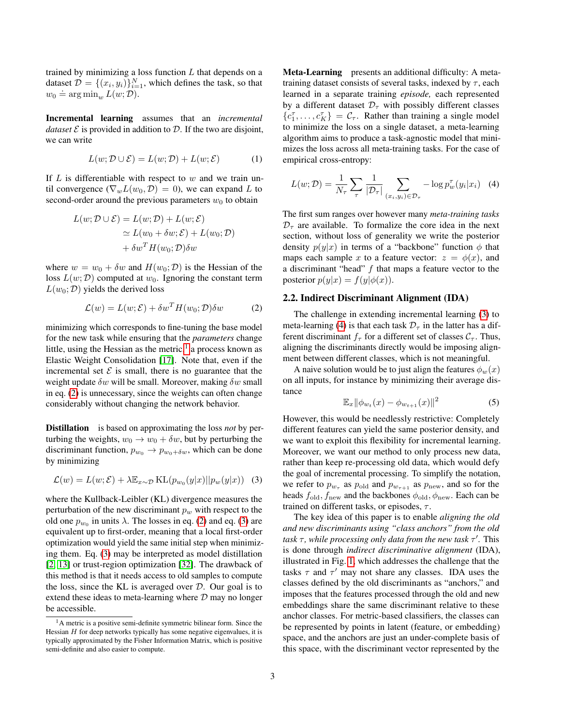trained by minimizing a loss function  $L$  that depends on a dataset  $\mathcal{D} = \{(x_i, y_i)\}_{i=1}^N$ , which defines the task, so that  $w_0 \doteq \arg \min_{w} L(w; \mathcal{D}).$ 

Incremental learning assumes that an *incremental dataset*  $\mathcal E$  is provided in addition to  $\mathcal D$ . If the two are disjoint, we can write

<span id="page-2-6"></span>
$$
L(w; \mathcal{D} \cup \mathcal{E}) = L(w; \mathcal{D}) + L(w; \mathcal{E}) \tag{1}
$$

If  $L$  is differentiable with respect to  $w$  and we train until convergence ( $\nabla_w L(w_0, \mathcal{D}) = 0$ ), we can expand L to second-order around the previous parameters  $w_0$  to obtain

$$
L(w; \mathcal{D} \cup \mathcal{E}) = L(w; \mathcal{D}) + L(w; \mathcal{E})
$$
  
\n
$$
\simeq L(w_0 + \delta w; \mathcal{E}) + L(w_0; \mathcal{D})
$$
  
\n
$$
+ \delta w^T H(w_0; \mathcal{D}) \delta w
$$

where  $w = w_0 + \delta w$  and  $H(w_0; \mathcal{D})$  is the Hessian of the loss  $L(w; \mathcal{D})$  computed at  $w_0$ . Ignoring the constant term  $L(w_0; \mathcal{D})$  yields the derived loss

<span id="page-2-2"></span>
$$
\mathcal{L}(w) = L(w; \mathcal{E}) + \delta w^T H(w_0; \mathcal{D}) \delta w \tag{2}
$$

minimizing which corresponds to fine-tuning the base model for the new task while ensuring that the *parameters* change little, using the Hessian as the metric, $<sup>1</sup>$  $<sup>1</sup>$  $<sup>1</sup>$  a process known as</sup> Elastic Weight Consolidation [\[17\]](#page-9-7). Note that, even if the incremental set  $\mathcal E$  is small, there is no guarantee that the weight update  $\delta w$  will be small. Moreover, making  $\delta w$  small in eq. [\(2\)](#page-2-2) is unnecessary, since the weights can often change considerably without changing the network behavior.

Distillation is based on approximating the loss *not* by perturbing the weights,  $w_0 \rightarrow w_0 + \delta w$ , but by perturbing the discriminant function,  $p_{w_0} \to p_{w_0+\delta w}$ , which can be done by minimizing

<span id="page-2-3"></span>
$$
\mathcal{L}(w) = L(w; \mathcal{E}) + \lambda \mathbb{E}_{x \sim \mathcal{D}} \operatorname{KL}(p_{w_0}(y|x) || p_w(y|x)) \quad (3)
$$

where the Kullback-Leibler (KL) divergence measures the perturbation of the new discriminant  $p_w$  with respect to the old one  $p_{w_0}$  in units  $\lambda$ . The losses in eq. [\(2\)](#page-2-2) and eq. [\(3\)](#page-2-3) are equivalent up to first-order, meaning that a local first-order optimization would yield the same initial step when minimizing them. Eq. [\(3\)](#page-2-3) may be interpreted as model distillation [\[2,](#page-8-4) [13\]](#page-8-5) or trust-region optimization [\[32\]](#page-9-9). The drawback of this method is that it needs access to old samples to compute the loss, since the KL is averaged over  $D$ . Our goal is to extend these ideas to meta-learning where  $D$  may no longer be accessible.

Meta-Learning presents an additional difficulty: A metatraining dataset consists of several tasks, indexed by  $\tau$ , each learned in a separate training *episode,* each represented by a different dataset  $\mathcal{D}_{\tau}$  with possibly different classes  $\{c_1^{\tau}, \ldots, c_K^{\tau}\} = C_{\tau}$ . Rather than training a single model to minimize the loss on a single dataset, a meta-learning algorithm aims to produce a task-agnostic model that minimizes the loss across all meta-training tasks. For the case of empirical cross-entropy:

<span id="page-2-4"></span>
$$
L(w; \mathcal{D}) = \frac{1}{N_{\tau}} \sum_{\tau} \frac{1}{|\mathcal{D}_{\tau}|} \sum_{(x_i, y_i) \in \mathcal{D}_{\tau}} -\log p_w^{\tau}(y_i | x_i) \quad (4)
$$

The first sum ranges over however many *meta-training tasks*  $\mathcal{D}_{\tau}$  are available. To formalize the core idea in the next section, without loss of generality we write the posterior density  $p(y|x)$  in terms of a "backbone" function  $\phi$  that maps each sample x to a feature vector:  $z = \phi(x)$ , and a discriminant "head"  $f$  that maps a feature vector to the posterior  $p(y|x) = f(y|\phi(x)).$ 

#### <span id="page-2-0"></span>2.2. Indirect Discriminant Alignment (IDA)

The challenge in extending incremental learning [\(3\)](#page-2-3) to meta-learning [\(4\)](#page-2-4) is that each task  $\mathcal{D}_{\tau}$  in the latter has a different discriminant  $f_\tau$  for a different set of classes  $C_\tau$ . Thus, aligning the discriminants directly would be imposing alignment between different classes, which is not meaningful.

A naive solution would be to just align the features  $\phi_w(x)$ on all inputs, for instance by minimizing their average distance

<span id="page-2-5"></span>
$$
\mathbb{E}_x \|\phi_{w_t}(x) - \phi_{w_{t+1}}(x)\|^2 \tag{5}
$$

However, this would be needlessly restrictive: Completely different features can yield the same posterior density, and we want to exploit this flexibility for incremental learning. Moreover, we want our method to only process new data, rather than keep re-processing old data, which would defy the goal of incremental processing. To simplify the notation, we refer to  $p_{w_{\tau}}$  as  $p_{old}$  and  $p_{w_{\tau+1}}$  as  $p_{new}$ , and so for the heads  $f_{old}, f_{new}$  and the backbones  $\phi_{old}, \phi_{new}$ . Each can be trained on different tasks, or episodes,  $\tau$ .

The key idea of this paper is to enable *aligning the old and new discriminants using "class anchors" from the old* task τ, while processing only data from the new task τ'. This is done through *indirect discriminative alignment* (IDA), illustrated in Fig. [1,](#page-0-0) which addresses the challenge that the tasks  $\tau$  and  $\tau'$  may not share any classes. IDA uses the classes defined by the old discriminants as "anchors," and imposes that the features processed through the old and new embeddings share the same discriminant relative to these anchor classes. For metric-based classifiers, the classes can be represented by points in latent (feature, or embedding) space, and the anchors are just an under-complete basis of this space, with the discriminant vector represented by the

<span id="page-2-1"></span><sup>&</sup>lt;sup>1</sup>A metric is a positive semi-definite symmetric bilinear form. Since the Hessian  $H$  for deep networks typically has some negative eigenvalues, it is typically approximated by the Fisher Information Matrix, which is positive semi-definite and also easier to compute.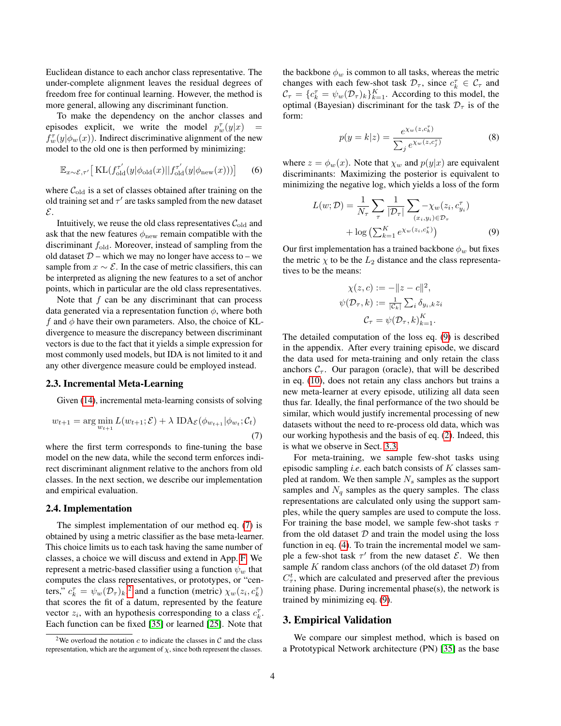Euclidean distance to each anchor class representative. The under-complete alignment leaves the residual degrees of freedom free for continual learning. However, the method is more general, allowing any discriminant function.

To make the dependency on the anchor classes and episodes explicit, we write the model  $p_w^{\tau}(y|x)$  =  $f_w^{\tau}(y|\phi_w(x))$ . Indirect discriminative alignment of the new model to the old one is then performed by minimizing:

$$
\mathbb{E}_{x \sim \mathcal{E}, \tau'} \left[ \mathrm{KL}(f_{\mathrm{old}}^{\tau'}(y|\phi_{\mathrm{old}}(x)||f_{\mathrm{old}}^{\tau'}(y|\phi_{\mathrm{new}}(x))) \right] \tag{6}
$$

where  $C_{old}$  is a set of classes obtained after training on the old training set and  $\tau'$  are tasks sampled from the new dataset E.

Intuitively, we reuse the old class representatives  $C_{old}$  and ask that the new features  $\phi_{\text{new}}$  remain compatible with the discriminant  $f_{old}$ . Moreover, instead of sampling from the old dataset  $D$  – which we may no longer have access to – we sample from  $x \sim \mathcal{E}$ . In the case of metric classifiers, this can be interpreted as aligning the new features to a set of anchor points, which in particular are the old class representatives.

Note that  $f$  can be any discriminant that can process data generated via a representation function  $\phi$ , where both f and  $\phi$  have their own parameters. Also, the choice of KLdivergence to measure the discrepancy between discriminant vectors is due to the fact that it yields a simple expression for most commonly used models, but IDA is not limited to it and any other divergence measure could be employed instead.

#### <span id="page-3-1"></span>2.3. Incremental Meta-Learning

Given [\(14\)](#page-10-0), incremental meta-learning consists of solving

<span id="page-3-2"></span>
$$
w_{t+1} = \arg\min_{w_{t+1}} L(w_{t+1}; \mathcal{E}) + \lambda \text{ IDA}_{\mathcal{E}}(\phi_{w_{t+1}} | \phi_{w_t}; \mathcal{C}_t)
$$
\n(7)

where the first term corresponds to fine-tuning the base model on the new data, while the second term enforces indirect discriminant alignment relative to the anchors from old classes. In the next section, we describe our implementation and empirical evaluation.

#### <span id="page-3-0"></span>2.4. Implementation

The simplest implementation of our method eq. [\(7\)](#page-3-2) is obtained by using a metric classifier as the base meta-learner. This choice limits us to each task having the same number of classes, a choice we will discuss and extend in App. [F.](#page-12-0) We represent a metric-based classifier using a function  $\psi_w$  that computes the class representatives, or prototypes, or "centers,"  $c_k^{\tau} = \psi_w(\mathcal{D}_{\tau})_k$ , and a function (metric)  $\chi_w(z_i, c_k^{\tau})$ that scores the fit of a datum, represented by the feature vector  $z_i$ , with an hypothesis corresponding to a class  $c_k^{\tau}$ . Each function can be fixed [\[35\]](#page-9-1) or learned [\[25\]](#page-9-2). Note that

the backbone  $\phi_w$  is common to all tasks, whereas the metric changes with each few-shot task  $\mathcal{D}_{\tau}$ , since  $c_k^{\tau} \in \mathcal{C}_{\tau}$  and  $\mathcal{C}_{\tau} = \{c_k^{\tau} = \psi_w(\mathcal{D}_{\tau})_k\}_{k=1}^K$ . According to this model, the optimal (Bayesian) discriminant for the task  $\mathcal{D}_{\tau}$  is of the form:

$$
p(y = k|z) = \frac{e^{\chi_w(z, c_b^{\tau})}}{\sum_j e^{\chi_w(z, c_j^{\tau})}}
$$
(8)

where  $z = \phi_w(x)$ . Note that  $\chi_w$  and  $p(y|x)$  are equivalent discriminants: Maximizing the posterior is equivalent to minimizing the negative log, which yields a loss of the form

$$
L(w; \mathcal{D}) = \frac{1}{N_{\tau}} \sum_{\tau} \frac{1}{|\mathcal{D}_{\tau}|} \sum_{(x_i, y_i) \in \mathcal{D}_{\tau}} -\chi_w(z_i, c_{y_i}^{\tau})
$$

$$
+ \log \left( \sum_{k=1}^K e^{\chi_w(z_i, c_k^{\tau})} \right)
$$
(9)

Our first implementation has a trained backbone  $\phi_w$  but fixes the metric  $\chi$  to be the  $L_2$  distance and the class representatives to be the means:

<span id="page-3-4"></span>
$$
\chi(z, c) := -\|z - c\|^2,
$$
  

$$
\psi(\mathcal{D}_{\tau}, k) := \frac{1}{|\mathcal{C}_k|} \sum_i \delta_{y_i, k} z_i
$$
  

$$
\mathcal{C}_{\tau} = \psi(\mathcal{D}_{\tau}, k)_{k=1}^K.
$$

The detailed computation of the loss eq. [\(9\)](#page-3-4) is described in the appendix. After every training episode, we discard the data used for meta-training and only retain the class anchors  $C_{\tau}$ . Our paragon (oracle), that will be described in eq. [\(10\)](#page-4-2), does not retain any class anchors but trains a new meta-learner at every episode, utilizing all data seen thus far. Ideally, the final performance of the two should be similar, which would justify incremental processing of new datasets without the need to re-process old data, which was our working hypothesis and the basis of eq. [\(2\)](#page-2-2). Indeed, this is what we observe in Sect. [3.3.](#page-5-0)

For meta-training, we sample few-shot tasks using episodic sampling *i.e*. each batch consists of K classes sampled at random. We then sample  $N_s$  samples as the support samples and  $N_a$  samples as the query samples. The class representations are calculated only using the support samples, while the query samples are used to compute the loss. For training the base model, we sample few-shot tasks  $\tau$ from the old dataset  $D$  and train the model using the loss function in eq. [\(4\)](#page-2-4). To train the incremental model we sample a few-shot task  $\tau'$  from the new dataset  $\mathcal{E}$ . We then sample  $K$  random class anchors (of the old dataset  $D$ ) from  $C_{\tau}^{t}$ , which are calculated and preserved after the previous training phase. During incremental phase(s), the network is trained by minimizing eq. [\(9\)](#page-3-4).

## 3. Empirical Validation

We compare our simplest method, which is based on a Prototypical Network architecture (PN) [\[35\]](#page-9-1) as the base

<span id="page-3-3"></span><sup>&</sup>lt;sup>2</sup>We overload the notation  $c$  to indicate the classes in  $\mathcal C$  and the class representation, which are the argument of  $\chi$ , since both represent the classes.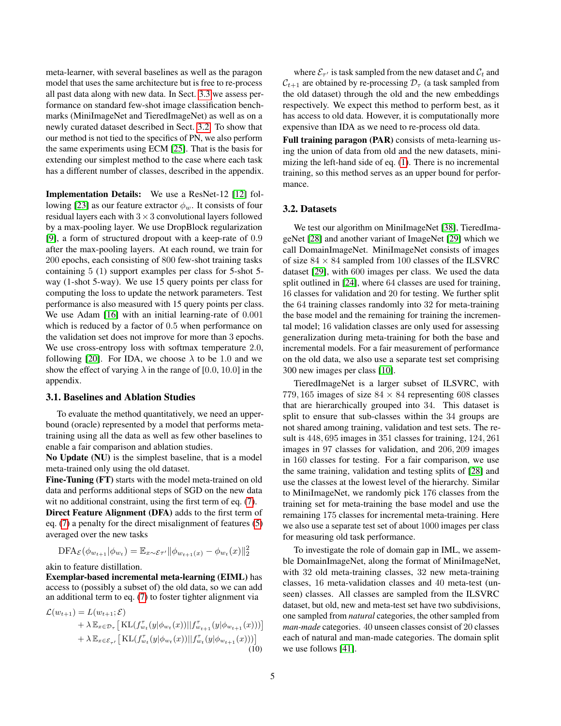meta-learner, with several baselines as well as the paragon model that uses the same architecture but is free to re-process all past data along with new data. In Sect. [3.3](#page-5-0) we assess performance on standard few-shot image classification benchmarks (MiniImageNet and TieredImageNet) as well as on a newly curated dataset described in Sect. [3.2.](#page-4-1) To show that our method is not tied to the specifics of PN, we also perform the same experiments using ECM [\[25\]](#page-9-2). That is the basis for extending our simplest method to the case where each task has a different number of classes, described in the appendix.

**Implementation Details:** We use a ResNet-12 [\[12\]](#page-8-6) fol-lowing [\[23\]](#page-9-10) as our feature extractor  $\phi_w$ . It consists of four residual layers each with  $3\times3$  convolutional layers followed by a max-pooling layer. We use DropBlock regularization [\[9\]](#page-8-7), a form of structured dropout with a keep-rate of 0.9 after the max-pooling layers. At each round, we train for 200 epochs, each consisting of 800 few-shot training tasks containing 5 (1) support examples per class for 5-shot 5 way (1-shot 5-way). We use 15 query points per class for computing the loss to update the network parameters. Test performance is also measured with 15 query points per class. We use Adam [\[16\]](#page-9-11) with an initial learning-rate of  $0.001$ which is reduced by a factor of 0.5 when performance on the validation set does not improve for more than 3 epochs. We use cross-entropy loss with softmax temperature 2.0, following [\[20\]](#page-9-5). For IDA, we choose  $\lambda$  to be 1.0 and we show the effect of varying  $\lambda$  in the range of [0.0, 10.0] in the appendix.

#### <span id="page-4-0"></span>3.1. Baselines and Ablation Studies

To evaluate the method quantitatively, we need an upperbound (oracle) represented by a model that performs metatraining using all the data as well as few other baselines to enable a fair comparison and ablation studies.

No Update (NU) is the simplest baseline, that is a model meta-trained only using the old dataset.

Fine-Tuning (FT) starts with the model meta-trained on old data and performs additional steps of SGD on the new data wit no additional constraint, using the first term of eq. [\(7\)](#page-3-2).

Direct Feature Alignment (DFA) adds to the first term of eq. [\(7\)](#page-3-2) a penalty for the direct misalignment of features [\(5\)](#page-2-5) averaged over the new tasks

<span id="page-4-2"></span>
$$
\text{DFA}_{\mathcal{E}}(\phi_{w_{t+1}}|\phi_{w_t}) = \mathbb{E}_{x \sim \mathcal{E}\tau'} ||\phi_{w_{t+1}(x)} - \phi_{w_t}(x)||_2^2
$$

akin to feature distillation.

Exemplar-based incremental meta-learning (EIML) has access to (possibly a subset of) the old data, so we can add an additional term to eq. [\(7\)](#page-3-2) to foster tighter alignment via

$$
\mathcal{L}(w_{t+1}) = L(w_{t+1}; \mathcal{E}) \n+ \lambda \mathbb{E}_{x \in \mathcal{D}_{\tau}} \left[ \text{KL}(f_{w_t}^{\tau}(y|\phi_{w_t}(x))||f_{w_{t+1}}^{\tau}(y|\phi_{w_{t+1}}(x))) \right] \n+ \lambda \mathbb{E}_{x \in \mathcal{E}_{\tau'}} \left[ \text{KL}(f_{w_t}^{\tau}(y|\phi_{w_t}(x))||f_{w_t}^{\tau}(y|\phi_{w_{t+1}}(x))) \right]
$$
\n(10)

where  $\mathcal{E}_{\tau'}$  is task sampled from the new dataset and  $\mathcal{C}_t$  and  $C_{t+1}$  are obtained by re-processing  $\mathcal{D}_{\tau}$  (a task sampled from the old dataset) through the old and the new embeddings respectively. We expect this method to perform best, as it has access to old data. However, it is computationally more expensive than IDA as we need to re-process old data.

Full training paragon (PAR) consists of meta-learning using the union of data from old and the new datasets, minimizing the left-hand side of eq. [\(1\)](#page-2-6). There is no incremental training, so this method serves as an upper bound for performance.

#### <span id="page-4-1"></span>3.2. Datasets

We test our algorithm on MiniImageNet [\[38\]](#page-9-12), TieredImageNet [\[28\]](#page-9-13) and another variant of ImageNet [\[29\]](#page-9-14) which we call DomainImageNet. MiniImageNet consists of images of size  $84 \times 84$  sampled from 100 classes of the ILSVRC dataset [\[29\]](#page-9-14), with 600 images per class. We used the data split outlined in [\[24\]](#page-9-15), where 64 classes are used for training, 16 classes for validation and 20 for testing. We further split the 64 training classes randomly into 32 for meta-training the base model and the remaining for training the incremental model; 16 validation classes are only used for assessing generalization during meta-training for both the base and incremental models. For a fair measurement of performance on the old data, we also use a separate test set comprising 300 new images per class [\[10\]](#page-8-8).

TieredImageNet is a larger subset of ILSVRC, with 779, 165 images of size  $84 \times 84$  representing 608 classes that are hierarchically grouped into 34. This dataset is split to ensure that sub-classes within the 34 groups are not shared among training, validation and test sets. The result is 448, 695 images in 351 classes for training, 124, 261 images in 97 classes for validation, and 206, 209 images in 160 classes for testing. For a fair comparison, we use the same training, validation and testing splits of [\[28\]](#page-9-13) and use the classes at the lowest level of the hierarchy. Similar to MiniImageNet, we randomly pick 176 classes from the training set for meta-training the base model and use the remaining 175 classes for incremental meta-training. Here we also use a separate test set of about 1000 images per class for measuring old task performance.

To investigate the role of domain gap in IML, we assemble DomainImageNet, along the format of MiniImageNet, with 32 old meta-training classes, 32 new meta-training classes, 16 meta-validation classes and 40 meta-test (unseen) classes. All classes are sampled from the ILSVRC dataset, but old, new and meta-test set have two subdivisions, one sampled from *natural* categories, the other sampled from *man-made* categories. 40 unseen classes consist of 20 classes each of natural and man-made categories. The domain split we use follows [\[41\]](#page-9-16).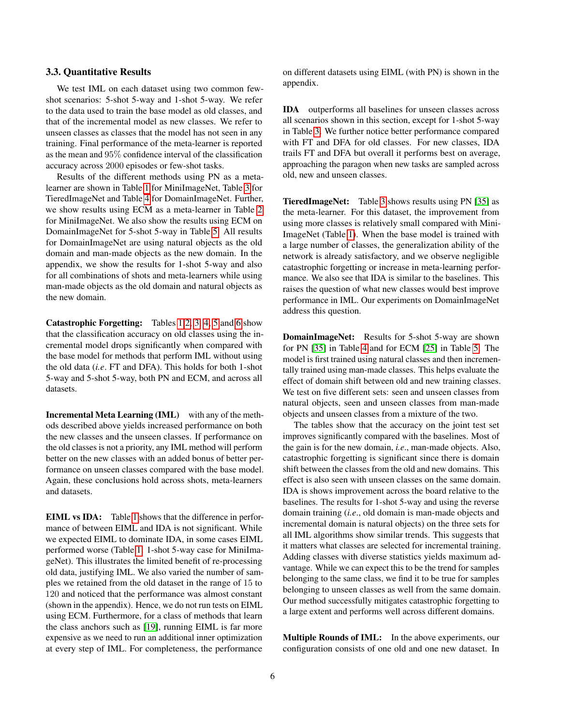#### <span id="page-5-0"></span>3.3. Quantitative Results

We test IML on each dataset using two common fewshot scenarios: 5-shot 5-way and 1-shot 5-way. We refer to the data used to train the base model as old classes, and that of the incremental model as new classes. We refer to unseen classes as classes that the model has not seen in any training. Final performance of the meta-learner is reported as the mean and 95% confidence interval of the classification accuracy across 2000 episodes or few-shot tasks.

Results of the different methods using PN as a metalearner are shown in Table [1](#page-6-0) for MiniImageNet, Table [3](#page-6-1) for TieredImageNet and Table [4](#page-6-2) for DomainImageNet. Further, we show results using ECM as a meta-learner in Table [2](#page-6-3) for MiniImageNet. We also show the results using ECM on DomainImageNet for 5-shot 5-way in Table [5.](#page-7-2) All results for DomainImageNet are using natural objects as the old domain and man-made objects as the new domain. In the appendix, we show the results for 1-shot 5-way and also for all combinations of shots and meta-learners while using man-made objects as the old domain and natural objects as the new domain.

Catastrophic Forgetting: Tables [1,](#page-6-0)[2,](#page-6-3) [3,](#page-6-1) [4,](#page-6-2) [5](#page-7-2) and [6](#page-8-9) show that the classification accuracy on old classes using the incremental model drops significantly when compared with the base model for methods that perform IML without using the old data (*i.e*. FT and DFA). This holds for both 1-shot 5-way and 5-shot 5-way, both PN and ECM, and across all datasets.

Incremental Meta Learning (IML) with any of the methods described above yields increased performance on both the new classes and the unseen classes. If performance on the old classes is not a priority, any IML method will perform better on the new classes with an added bonus of better performance on unseen classes compared with the base model. Again, these conclusions hold across shots, meta-learners and datasets.

EIML vs IDA: Table [1](#page-6-0) shows that the difference in performance of between EIML and IDA is not significant. While we expected EIML to dominate IDA, in some cases EIML performed worse (Table [1:](#page-6-0) 1-shot 5-way case for MiniImageNet). This illustrates the limited benefit of re-processing old data, justifying IML. We also varied the number of samples we retained from the old dataset in the range of 15 to 120 and noticed that the performance was almost constant (shown in the appendix). Hence, we do not run tests on EIML using ECM. Furthermore, for a class of methods that learn the class anchors such as [\[19\]](#page-9-3), running EIML is far more expensive as we need to run an additional inner optimization at every step of IML. For completeness, the performance

on different datasets using EIML (with PN) is shown in the appendix.

IDA outperforms all baselines for unseen classes across all scenarios shown in this section, except for 1-shot 5-way in Table [3.](#page-6-1) We further notice better performance compared with FT and DFA for old classes. For new classes, IDA trails FT and DFA but overall it performs best on average, approaching the paragon when new tasks are sampled across old, new and unseen classes.

TieredImageNet: Table [3](#page-6-1) shows results using PN [\[35\]](#page-9-1) as the meta-learner. For this dataset, the improvement from using more classes is relatively small compared with Mini-ImageNet (Table [1\)](#page-6-0). When the base model is trained with a large number of classes, the generalization ability of the network is already satisfactory, and we observe negligible catastrophic forgetting or increase in meta-learning performance. We also see that IDA is similar to the baselines. This raises the question of what new classes would best improve performance in IML. Our experiments on DomainImageNet address this question.

DomainImageNet: Results for 5-shot 5-way are shown for PN [\[35\]](#page-9-1) in Table [4](#page-6-2) and for ECM [\[25\]](#page-9-2) in Table [5.](#page-7-2) The model is first trained using natural classes and then incrementally trained using man-made classes. This helps evaluate the effect of domain shift between old and new training classes. We test on five different sets: seen and unseen classes from natural objects, seen and unseen classes from man-made objects and unseen classes from a mixture of the two.

The tables show that the accuracy on the joint test set improves significantly compared with the baselines. Most of the gain is for the new domain, *i.e*., man-made objects. Also, catastrophic forgetting is significant since there is domain shift between the classes from the old and new domains. This effect is also seen with unseen classes on the same domain. IDA is shows improvement across the board relative to the baselines. The results for 1-shot 5-way and using the reverse domain training (*i.e*., old domain is man-made objects and incremental domain is natural objects) on the three sets for all IML algorithms show similar trends. This suggests that it matters what classes are selected for incremental training. Adding classes with diverse statistics yields maximum advantage. While we can expect this to be the trend for samples belonging to the same class, we find it to be true for samples belonging to unseen classes as well from the same domain. Our method successfully mitigates catastrophic forgetting to a large extent and performs well across different domains.

Multiple Rounds of IML: In the above experiments, our configuration consists of one old and one new dataset. In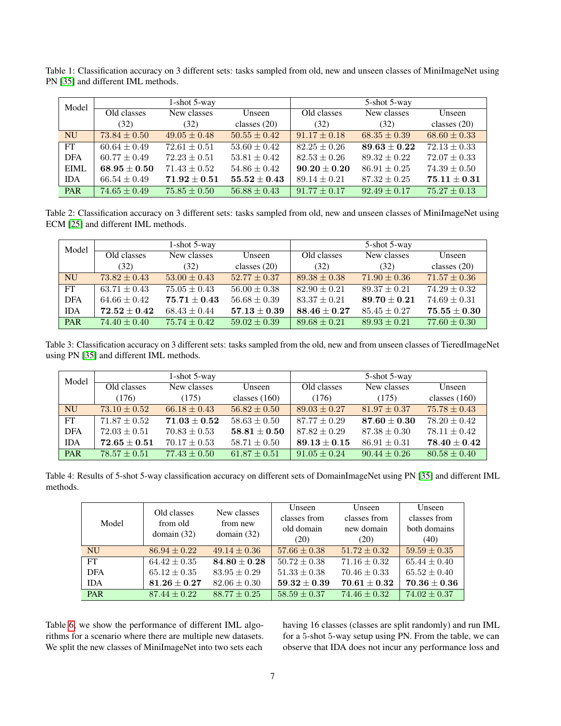| Model       |                  | 1-shot 5-way   |                  | 5-shot 5-way     |                  |                  |  |
|-------------|------------------|----------------|------------------|------------------|------------------|------------------|--|
|             | Old classes      | New classes    | Unseen           | Old classes      | New classes      | Unseen           |  |
|             | (32)             | (32)           | classes $(20)$   | (32)             | (32)             | classes $(20)$   |  |
| <b>NU</b>   | $73.84 \pm 0.50$ | $49.05 + 0.48$ | $50.55 + 0.42$   | $91.17 + 0.18$   | $68.35 \pm 0.39$ | $68.60 \pm 0.33$ |  |
| <b>FT</b>   | $60.64 + 0.49$   | $72.61 + 0.51$ | $53.60 + 0.42$   | $82.25 + 0.26$   | $89.63 + 0.22$   | $72.13 + 0.33$   |  |
| <b>DFA</b>  | $60.77 \pm 0.49$ | $72.23 + 0.51$ | $53.81 + 0.42$   | $82.53 \pm 0.26$ | $89.32 + 0.22$   | $72.07 \pm 0.33$ |  |
| <b>EIML</b> | $68.95 + 0.50$   | $71.43 + 0.52$ | $54.86 + 0.42$   | $90.20 + 0.20$   | $86.91 + 0.25$   | $74.39 \pm 0.50$ |  |
| <b>IDA</b>  | $66.54 \pm 0.49$ | $71.92 + 0.51$ | $55.52 + 0.43$   | $89.14 \pm 0.21$ | $87.32 + 0.25$   | $75.11 + 0.31$   |  |
| <b>PAR</b>  | $74.65 + 0.49$   | $75.85 + 0.50$ | $56.88 \pm 0.43$ | $91.77 + 0.17$   | $92.49 + 0.17$   | $75.27 \pm 0.13$ |  |

<span id="page-6-0"></span>Table 1: Classification accuracy on 3 different sets: tasks sampled from old, new and unseen classes of MiniImageNet using PN [\[35\]](#page-9-1) and different IML methods.

<span id="page-6-3"></span>Table 2: Classification accuracy on 3 different sets: tasks sampled from old, new and unseen classes of MiniImageNet using ECM [\[25\]](#page-9-2) and different IML methods.

| Model      | 1-shot 5-way   |                  | 5-shot 5-way     |                  |                  |                  |
|------------|----------------|------------------|------------------|------------------|------------------|------------------|
|            | Old classes    | New classes      | Unseen           | Old classes      | New classes      | Unseen           |
|            | (32)           | (32)             | classes $(20)$   | (32)             | (32)             | classes $(20)$   |
| <b>NU</b>  | $73.82 + 0.43$ | $53.00 \pm 0.43$ | $52.77 + 0.37$   | $89.38 + 0.38$   | $71.90 + 0.36$   | $71.57 \pm 0.36$ |
| FT.        | $63.71 + 0.43$ | $75.05 + 0.43$   | $56.00 \pm 0.38$ | $82.90 + 0.21$   | $89.37 + 0.21$   | $74.29 + 0.32$   |
| <b>DFA</b> | $64.66 + 0.42$ | $75.71 + 0.43$   | $56.68 + 0.39$   | $83.37 + 0.21$   | $89.70 + 0.21$   | $74.69 + 0.31$   |
| <b>IDA</b> | $72.52 + 0.42$ | $68.43 + 0.44$   | $57.13 + 0.39$   | $88.46 + 0.27$   | $85.45 + 0.27$   | $75.55\pm0.30$   |
| <b>PAR</b> | $74.40 + 0.40$ | $75.74 + 0.42$   | $59.02 + 0.39$   | $89.68 \pm 0.21$ | $89.93 \pm 0.21$ | $77.60 \pm 0.30$ |

<span id="page-6-1"></span>Table 3: Classification accuracy on 3 different sets: tasks sampled from the old, new and from unseen classes of TieredImageNet using PN [\[35\]](#page-9-1) and different IML methods.

| Model      |                  | $1$ -shot 5-way  |                  |                | 5-shot 5-way     |                  |
|------------|------------------|------------------|------------------|----------------|------------------|------------------|
|            | Old classes      | New classes      | Unseen           | Old classes    | New classes      | Unseen           |
|            | (176)            | (175)            | classes $(160)$  | (176)          | (175)            | classes $(160)$  |
| <b>NU</b>  | $73.10 + 0.52$   | $66.18 + 0.43$   | $56.82 + 0.50$   | $89.03 + 0.27$ | $81.97 + 0.37$   | $75.78 + 0.43$   |
| <b>FT</b>  | $71.87 + 0.52$   | $71.03 + 0.52$   | $58.63 + 0.50$   | $87.77 + 0.29$ | $87.60 + 0.30$   | $78.20 + 0.42$   |
| <b>DFA</b> | $72.03 + 0.51$   | $70.83 + 0.53$   | $58.81 + 0.50$   | $87.82 + 0.29$ | $87.38 + 0.30$   | $78.11 \pm 0.42$ |
| <b>IDA</b> | $72.65 + 0.51$   | $70.17 \pm 0.53$ | $58.71 \pm 0.50$ | $89.13 + 0.15$ | $86.91 \pm 0.31$ | $78.40 + 0.42$   |
| PAR        | $78.57 \pm 0.51$ | $77.43 + 0.50$   | $61.87 \pm 0.51$ | $91.05 + 0.24$ | $90.44 + 0.26$   | $80.58 \pm 0.40$ |

<span id="page-6-2"></span>Table 4: Results of 5-shot 5-way classification accuracy on different sets of DomainImageNet using PN [\[35\]](#page-9-1) and different IML methods.

| Model      | Old classes<br>from old<br>domain $(32)$ | New classes<br>from new<br>domain $(32)$ | Unseen<br>classes from<br>old domain<br>(20) | Unseen<br>classes from<br>new domain<br>(20) | Unseen<br>classes from<br>both domains<br>(40) |
|------------|------------------------------------------|------------------------------------------|----------------------------------------------|----------------------------------------------|------------------------------------------------|
| <b>NU</b>  | $86.94 + 0.22$                           | $49.14 + 0.36$                           | $57.66 + 0.38$                               | $51.72 + 0.32$                               | $59.59 \pm 0.35$                               |
| FT         | $64.42 + 0.35$                           | $84.80 + 0.28$                           | $50.72 + 0.38$                               | $71.16 + 0.32$                               | $65.44 + 0.40$                                 |
| <b>DFA</b> | $65.12 \pm 0.35$                         | $83.95 + 0.29$                           | $51.33 + 0.38$                               | $70.46 + 0.33$                               | $65.52 \pm 0.40$                               |
| <b>IDA</b> | $81.26 + 0.27$                           | $82.06 + 0.30$                           | $59.32 + 0.39$                               | $70.61 + 0.32$                               | $70.36\pm0.36$                                 |
| PAR        | $87.44 + 0.22$                           | $88.77 + 0.25$                           | $58.59 + 0.37$                               | $74.46 \pm 0.32$                             | $74.02 \pm 0.37$                               |

Table [6,](#page-8-9) we show the performance of different IML algorithms for a scenario where there are multiple new datasets. We split the new classes of MiniImageNet into two sets each

having 16 classes (classes are split randomly) and run IML for a 5-shot 5-way setup using PN. From the table, we can observe that IDA does not incur any performance loss and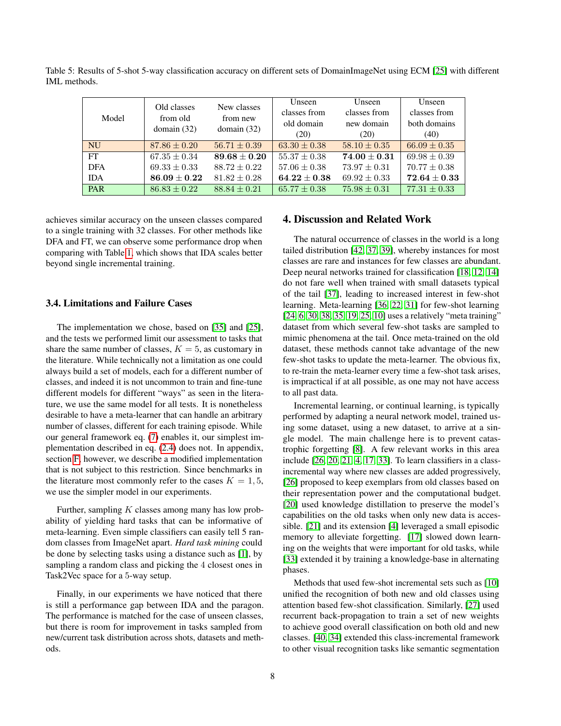| Model      | Old classes<br>from old<br>domain $(32)$ | New classes<br>from new<br>domain $(32)$ | <b>Unseen</b><br>classes from<br>old domain<br>(20) | Unseen<br>classes from<br>new domain<br>(20) | Unseen<br>classes from<br>both domains<br>(40) |
|------------|------------------------------------------|------------------------------------------|-----------------------------------------------------|----------------------------------------------|------------------------------------------------|
| <b>NU</b>  | $87.86 + 0.20$                           | $56.71 + 0.39$                           | $63.30 + 0.38$                                      | $58.10 + 0.35$                               | $66.09 \pm 0.35$                               |
| FT         | $67.35 + 0.34$                           | $89.68 + 0.20$                           | $55.37 + 0.38$                                      | $74.00 + 0.31$                               | $69.98 + 0.39$                                 |
| <b>DFA</b> | $69.33 + 0.33$                           | $88.72 + 0.22$                           | $57.06 + 0.38$                                      | $73.97 + 0.31$                               | $70.77 \pm 0.38$                               |
| <b>IDA</b> | $86.09 + 0.22$                           | $81.82 + 0.28$                           | $64.22 + 0.38$                                      | $69.92 + 0.33$                               | $72.64 + 0.33$                                 |
| <b>PAR</b> | $86.83 + 0.22$                           | $88.84 + 0.21$                           | $65.77 + 0.38$                                      | $75.98 + 0.31$                               | $77.31 + 0.33$                                 |

<span id="page-7-2"></span>Table 5: Results of 5-shot 5-way classification accuracy on different sets of DomainImageNet using ECM [\[25\]](#page-9-2) with different IML methods.

achieves similar accuracy on the unseen classes compared to a single training with 32 classes. For other methods like DFA and FT, we can observe some performance drop when comparing with Table [1,](#page-6-0) which shows that IDA scales better beyond single incremental training.

## <span id="page-7-1"></span>3.4. Limitations and Failure Cases

The implementation we chose, based on [\[35\]](#page-9-1) and [\[25\]](#page-9-2), and the tests we performed limit our assessment to tasks that share the same number of classes,  $K = 5$ , as customary in the literature. While technically not a limitation as one could always build a set of models, each for a different number of classes, and indeed it is not uncommon to train and fine-tune different models for different "ways" as seen in the literature, we use the same model for all tests. It is nonetheless desirable to have a meta-learner that can handle an arbitrary number of classes, different for each training episode. While our general framework eq. [\(7\)](#page-3-2) enables it, our simplest implementation described in eq. [\(2.4\)](#page-3-0) does not. In appendix, section [F,](#page-12-0) however, we describe a modified implementation that is not subject to this restriction. Since benchmarks in the literature most commonly refer to the cases  $K = 1, 5$ , we use the simpler model in our experiments.

Further, sampling  $K$  classes among many has low probability of yielding hard tasks that can be informative of meta-learning. Even simple classifiers can easily tell 5 random classes from ImageNet apart. *Hard task mining* could be done by selecting tasks using a distance such as [\[1\]](#page-8-10), by sampling a random class and picking the 4 closest ones in Task2Vec space for a 5-way setup.

Finally, in our experiments we have noticed that there is still a performance gap between IDA and the paragon. The performance is matched for the case of unseen classes, but there is room for improvement in tasks sampled from new/current task distribution across shots, datasets and methods.

## <span id="page-7-0"></span>4. Discussion and Related Work

The natural occurrence of classes in the world is a long tailed distribution [\[42,](#page-9-17) [37,](#page-9-18) [39\]](#page-9-19), whereby instances for most classes are rare and instances for few classes are abundant. Deep neural networks trained for classification [\[18,](#page-9-20) [12,](#page-8-6) [14\]](#page-9-21) do not fare well when trained with small datasets typical of the tail [\[37\]](#page-9-18), leading to increased interest in few-shot learning. Meta-learning [\[36,](#page-9-22) [22,](#page-9-23) [31\]](#page-9-0) for few-shot learning [\[24,](#page-9-15) [6,](#page-8-1) [30,](#page-9-24) [38,](#page-9-12) [35,](#page-9-1) [19,](#page-9-3) [25,](#page-9-2) [10\]](#page-8-8) uses a relatively "meta training" dataset from which several few-shot tasks are sampled to mimic phenomena at the tail. Once meta-trained on the old dataset, these methods cannot take advantage of the new few-shot tasks to update the meta-learner. The obvious fix, to re-train the meta-learner every time a few-shot task arises, is impractical if at all possible, as one may not have access to all past data.

Incremental learning, or continual learning, is typically performed by adapting a neural network model, trained using some dataset, using a new dataset, to arrive at a single model. The main challenge here is to prevent catastrophic forgetting [\[8\]](#page-8-11). A few relevant works in this area include [\[26,](#page-9-4) [20,](#page-9-5) [21,](#page-9-6) [4,](#page-8-2) [17,](#page-9-7) [33\]](#page-9-8). To learn classifiers in a classincremental way where new classes are added progressively, [\[26\]](#page-9-4) proposed to keep exemplars from old classes based on their representation power and the computational budget. [\[20\]](#page-9-5) used knowledge distillation to preserve the model's capabilities on the old tasks when only new data is accessible. [\[21\]](#page-9-6) and its extension [\[4\]](#page-8-2) leveraged a small episodic memory to alleviate forgetting. [\[17\]](#page-9-7) slowed down learning on the weights that were important for old tasks, while [\[33\]](#page-9-8) extended it by training a knowledge-base in alternating phases.

Methods that used few-shot incremental sets such as [\[10\]](#page-8-8) unified the recognition of both new and old classes using attention based few-shot classification. Similarly, [\[27\]](#page-9-25) used recurrent back-propagation to train a set of new weights to achieve good overall classification on both old and new classes. [\[40,](#page-9-26) [34\]](#page-9-27) extended this class-incremental framework to other visual recognition tasks like semantic segmentation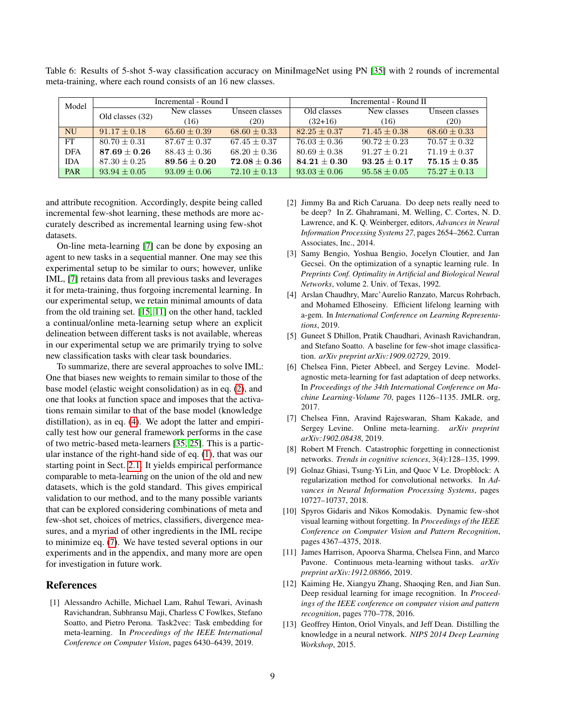| Model      | Incremental - Round I |                |                | Incremental - Round II |                |                |
|------------|-----------------------|----------------|----------------|------------------------|----------------|----------------|
|            | Old classes $(32)$    | New classes    | Unseen classes | Old classes            | New classes    | Unseen classes |
|            |                       | (16)           | (20)           | $(32+16)$              | (16)           | (20)           |
| <b>NU</b>  | $91.17 + 0.18$        | $65.60 + 0.39$ | $68.60 + 0.33$ | $82.25 + 0.37$         | $71.45 + 0.38$ | $68.60 + 0.33$ |
| FT.        | $80.70 + 0.31$        | $87.67 + 0.37$ | $67.45 + 0.37$ | $76.03 + 0.36$         | $90.72 + 0.23$ | $70.57 + 0.32$ |
| <b>DFA</b> | $87.69 + 0.26$        | $88.43 + 0.36$ | $68.20 + 0.36$ | $80.69 + 0.38$         | $91.27 + 0.21$ | $71.19 + 0.37$ |
| <b>IDA</b> | $87.30 + 0.25$        | $89.56 + 0.20$ | $72.08 + 0.36$ | $84.21 + 0.30$         | $93.25 + 0.17$ | $75.15 + 0.35$ |
| <b>PAR</b> | $93.94 + 0.05$        | $93.09 + 0.06$ | $72.10 + 0.13$ | $93.03 + 0.06$         | $95.58 + 0.05$ | $75.27 + 0.13$ |

<span id="page-8-9"></span>Table 6: Results of 5-shot 5-way classification accuracy on MiniImageNet using PN [\[35\]](#page-9-1) with 2 rounds of incremental meta-training, where each round consists of an 16 new classes.

and attribute recognition. Accordingly, despite being called incremental few-shot learning, these methods are more accurately described as incremental learning using few-shot datasets.

On-line meta-learning [\[7\]](#page-8-12) can be done by exposing an agent to new tasks in a sequential manner. One may see this experimental setup to be similar to ours; however, unlike IML, [\[7\]](#page-8-12) retains data from all previous tasks and leverages it for meta-training, thus forgoing incremental learning. In our experimental setup, we retain minimal amounts of data from the old training set. [\[15,](#page-9-28) [11\]](#page-8-13) on the other hand, tackled a continual/online meta-learning setup where an explicit delineation between different tasks is not available, whereas in our experimental setup we are primarily trying to solve new classification tasks with clear task boundaries.

To summarize, there are several approaches to solve IML: One that biases new weights to remain similar to those of the base model (elastic weight consolidation) as in eq. [\(2\)](#page-2-2), and one that looks at function space and imposes that the activations remain similar to that of the base model (knowledge distillation), as in eq. [\(4\)](#page-2-4). We adopt the latter and empirically test how our general framework performs in the case of two metric-based meta-learners [\[35,](#page-9-1) [25\]](#page-9-2). This is a particular instance of the right-hand side of eq. [\(1\)](#page-2-6), that was our starting point in Sect. [2.1.](#page-1-0) It yields empirical performance comparable to meta-learning on the union of the old and new datasets, which is the gold standard. This gives empirical validation to our method, and to the many possible variants that can be explored considering combinations of meta and few-shot set, choices of metrics, classifiers, divergence measures, and a myriad of other ingredients in the IML recipe to minimize eq. [\(7\)](#page-3-2). We have tested several options in our experiments and in the appendix, and many more are open for investigation in future work.

## References

<span id="page-8-10"></span>[1] Alessandro Achille, Michael Lam, Rahul Tewari, Avinash Ravichandran, Subhransu Maji, Charless C Fowlkes, Stefano Soatto, and Pietro Perona. Task2vec: Task embedding for meta-learning. In *Proceedings of the IEEE International Conference on Computer Vision*, pages 6430–6439, 2019.

- <span id="page-8-4"></span>[2] Jimmy Ba and Rich Caruana. Do deep nets really need to be deep? In Z. Ghahramani, M. Welling, C. Cortes, N. D. Lawrence, and K. Q. Weinberger, editors, *Advances in Neural Information Processing Systems 27*, pages 2654–2662. Curran Associates, Inc., 2014.
- <span id="page-8-0"></span>[3] Samy Bengio, Yoshua Bengio, Jocelyn Cloutier, and Jan Gecsei. On the optimization of a synaptic learning rule. In *Preprints Conf. Optimality in Artificial and Biological Neural Networks*, volume 2. Univ. of Texas, 1992.
- <span id="page-8-2"></span>[4] Arslan Chaudhry, Marc'Aurelio Ranzato, Marcus Rohrbach, and Mohamed Elhoseiny. Efficient lifelong learning with a-gem. In *International Conference on Learning Representations*, 2019.
- <span id="page-8-3"></span>[5] Guneet S Dhillon, Pratik Chaudhari, Avinash Ravichandran, and Stefano Soatto. A baseline for few-shot image classification. *arXiv preprint arXiv:1909.02729*, 2019.
- <span id="page-8-1"></span>[6] Chelsea Finn, Pieter Abbeel, and Sergey Levine. Modelagnostic meta-learning for fast adaptation of deep networks. In *Proceedings of the 34th International Conference on Machine Learning-Volume 70*, pages 1126–1135. JMLR. org, 2017.
- <span id="page-8-12"></span>[7] Chelsea Finn, Aravind Rajeswaran, Sham Kakade, and Sergey Levine. Online meta-learning. *arXiv preprint arXiv:1902.08438*, 2019.
- <span id="page-8-11"></span>[8] Robert M French. Catastrophic forgetting in connectionist networks. *Trends in cognitive sciences*, 3(4):128–135, 1999.
- <span id="page-8-7"></span>[9] Golnaz Ghiasi, Tsung-Yi Lin, and Quoc V Le. Dropblock: A regularization method for convolutional networks. In *Advances in Neural Information Processing Systems*, pages 10727–10737, 2018.
- <span id="page-8-8"></span>[10] Spyros Gidaris and Nikos Komodakis. Dynamic few-shot visual learning without forgetting. In *Proceedings of the IEEE Conference on Computer Vision and Pattern Recognition*, pages 4367–4375, 2018.
- <span id="page-8-13"></span>[11] James Harrison, Apoorva Sharma, Chelsea Finn, and Marco Pavone. Continuous meta-learning without tasks. *arXiv preprint arXiv:1912.08866*, 2019.
- <span id="page-8-6"></span>[12] Kaiming He, Xiangyu Zhang, Shaoqing Ren, and Jian Sun. Deep residual learning for image recognition. In *Proceedings of the IEEE conference on computer vision and pattern recognition*, pages 770–778, 2016.
- <span id="page-8-5"></span>[13] Geoffrey Hinton, Oriol Vinyals, and Jeff Dean. Distilling the knowledge in a neural network. *NIPS 2014 Deep Learning Workshop*, 2015.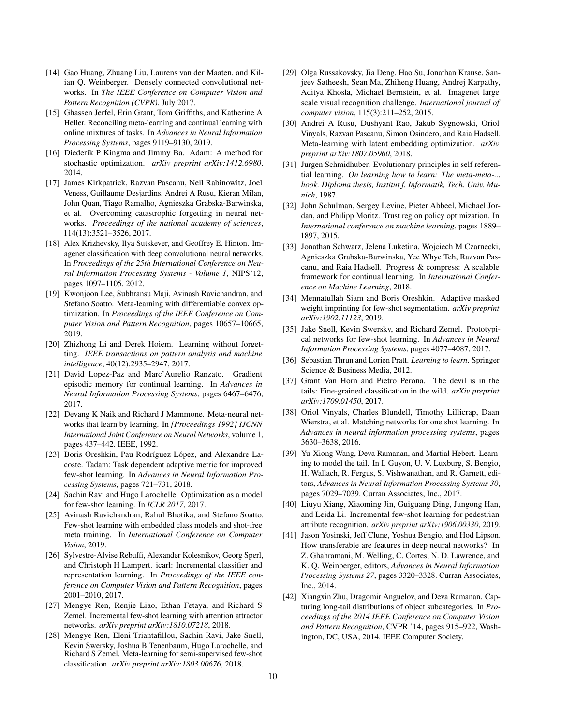- <span id="page-9-21"></span>[14] Gao Huang, Zhuang Liu, Laurens van der Maaten, and Kilian Q. Weinberger. Densely connected convolutional networks. In *The IEEE Conference on Computer Vision and Pattern Recognition (CVPR)*, July 2017.
- <span id="page-9-28"></span>[15] Ghassen Jerfel, Erin Grant, Tom Griffiths, and Katherine A Heller. Reconciling meta-learning and continual learning with online mixtures of tasks. In *Advances in Neural Information Processing Systems*, pages 9119–9130, 2019.
- <span id="page-9-11"></span>[16] Diederik P Kingma and Jimmy Ba. Adam: A method for stochastic optimization. *arXiv preprint arXiv:1412.6980*, 2014.
- <span id="page-9-7"></span>[17] James Kirkpatrick, Razvan Pascanu, Neil Rabinowitz, Joel Veness, Guillaume Desjardins, Andrei A Rusu, Kieran Milan, John Quan, Tiago Ramalho, Agnieszka Grabska-Barwinska, et al. Overcoming catastrophic forgetting in neural networks. *Proceedings of the national academy of sciences*, 114(13):3521–3526, 2017.
- <span id="page-9-20"></span>[18] Alex Krizhevsky, Ilya Sutskever, and Geoffrey E. Hinton. Imagenet classification with deep convolutional neural networks. In *Proceedings of the 25th International Conference on Neural Information Processing Systems - Volume 1*, NIPS'12, pages 1097–1105, 2012.
- <span id="page-9-3"></span>[19] Kwonjoon Lee, Subhransu Maji, Avinash Ravichandran, and Stefano Soatto. Meta-learning with differentiable convex optimization. In *Proceedings of the IEEE Conference on Computer Vision and Pattern Recognition*, pages 10657–10665, 2019.
- <span id="page-9-5"></span>[20] Zhizhong Li and Derek Hoiem. Learning without forgetting. *IEEE transactions on pattern analysis and machine intelligence*, 40(12):2935–2947, 2017.
- <span id="page-9-6"></span>[21] David Lopez-Paz and Marc'Aurelio Ranzato. Gradient episodic memory for continual learning. In *Advances in Neural Information Processing Systems*, pages 6467–6476, 2017.
- <span id="page-9-23"></span>[22] Devang K Naik and Richard J Mammone. Meta-neural networks that learn by learning. In *[Proceedings 1992] IJCNN International Joint Conference on Neural Networks*, volume 1, pages 437–442. IEEE, 1992.
- <span id="page-9-10"></span>[23] Boris Oreshkin, Pau Rodríguez López, and Alexandre Lacoste. Tadam: Task dependent adaptive metric for improved few-shot learning. In *Advances in Neural Information Processing Systems*, pages 721–731, 2018.
- <span id="page-9-15"></span>[24] Sachin Ravi and Hugo Larochelle. Optimization as a model for few-shot learning. In *ICLR 2017*, 2017.
- <span id="page-9-2"></span>[25] Avinash Ravichandran, Rahul Bhotika, and Stefano Soatto. Few-shot learning with embedded class models and shot-free meta training. In *International Conference on Computer Vision*, 2019.
- <span id="page-9-4"></span>[26] Sylvestre-Alvise Rebuffi, Alexander Kolesnikov, Georg Sperl, and Christoph H Lampert. icarl: Incremental classifier and representation learning. In *Proceedings of the IEEE conference on Computer Vision and Pattern Recognition*, pages 2001–2010, 2017.
- <span id="page-9-25"></span>[27] Mengye Ren, Renjie Liao, Ethan Fetaya, and Richard S Zemel. Incremental few-shot learning with attention attractor networks. *arXiv preprint arXiv:1810.07218*, 2018.
- <span id="page-9-13"></span>[28] Mengye Ren, Eleni Triantafillou, Sachin Ravi, Jake Snell, Kevin Swersky, Joshua B Tenenbaum, Hugo Larochelle, and Richard S Zemel. Meta-learning for semi-supervised few-shot classification. *arXiv preprint arXiv:1803.00676*, 2018.
- <span id="page-9-14"></span>[29] Olga Russakovsky, Jia Deng, Hao Su, Jonathan Krause, Sanjeev Satheesh, Sean Ma, Zhiheng Huang, Andrej Karpathy, Aditya Khosla, Michael Bernstein, et al. Imagenet large scale visual recognition challenge. *International journal of computer vision*, 115(3):211–252, 2015.
- <span id="page-9-24"></span>[30] Andrei A Rusu, Dushyant Rao, Jakub Sygnowski, Oriol Vinyals, Razvan Pascanu, Simon Osindero, and Raia Hadsell. Meta-learning with latent embedding optimization. *arXiv preprint arXiv:1807.05960*, 2018.
- <span id="page-9-0"></span>[31] Jurgen Schmidhuber. Evolutionary principles in self referential learning. *On learning how to learn: The meta-meta-... hook. Diploma thesis, Institut f. Informatik, Tech. Univ. Munich*, 1987.
- <span id="page-9-9"></span>[32] John Schulman, Sergey Levine, Pieter Abbeel, Michael Jordan, and Philipp Moritz. Trust region policy optimization. In *International conference on machine learning*, pages 1889– 1897, 2015.
- <span id="page-9-8"></span>[33] Jonathan Schwarz, Jelena Luketina, Wojciech M Czarnecki, Agnieszka Grabska-Barwinska, Yee Whye Teh, Razvan Pascanu, and Raia Hadsell. Progress & compress: A scalable framework for continual learning. In *International Conference on Machine Learning*, 2018.
- <span id="page-9-27"></span>[34] Mennatullah Siam and Boris Oreshkin. Adaptive masked weight imprinting for few-shot segmentation. *arXiv preprint arXiv:1902.11123*, 2019.
- <span id="page-9-1"></span>[35] Jake Snell, Kevin Swersky, and Richard Zemel. Prototypical networks for few-shot learning. In *Advances in Neural Information Processing Systems*, pages 4077–4087, 2017.
- <span id="page-9-22"></span>[36] Sebastian Thrun and Lorien Pratt. *Learning to learn*. Springer Science & Business Media, 2012.
- <span id="page-9-18"></span>[37] Grant Van Horn and Pietro Perona. The devil is in the tails: Fine-grained classification in the wild. *arXiv preprint arXiv:1709.01450*, 2017.
- <span id="page-9-12"></span>[38] Oriol Vinyals, Charles Blundell, Timothy Lillicrap, Daan Wierstra, et al. Matching networks for one shot learning. In *Advances in neural information processing systems*, pages 3630–3638, 2016.
- <span id="page-9-19"></span>[39] Yu-Xiong Wang, Deva Ramanan, and Martial Hebert. Learning to model the tail. In I. Guyon, U. V. Luxburg, S. Bengio, H. Wallach, R. Fergus, S. Vishwanathan, and R. Garnett, editors, *Advances in Neural Information Processing Systems 30*, pages 7029–7039. Curran Associates, Inc., 2017.
- <span id="page-9-26"></span>[40] Liuyu Xiang, Xiaoming Jin, Guiguang Ding, Jungong Han, and Leida Li. Incremental few-shot learning for pedestrian attribute recognition. *arXiv preprint arXiv:1906.00330*, 2019.
- <span id="page-9-16"></span>[41] Jason Yosinski, Jeff Clune, Yoshua Bengio, and Hod Lipson. How transferable are features in deep neural networks? In Z. Ghahramani, M. Welling, C. Cortes, N. D. Lawrence, and K. Q. Weinberger, editors, *Advances in Neural Information Processing Systems 27*, pages 3320–3328. Curran Associates, Inc., 2014.
- <span id="page-9-17"></span>[42] Xiangxin Zhu, Dragomir Anguelov, and Deva Ramanan. Capturing long-tail distributions of object subcategories. In *Proceedings of the 2014 IEEE Conference on Computer Vision and Pattern Recognition*, CVPR '14, pages 915–922, Washington, DC, USA, 2014. IEEE Computer Society.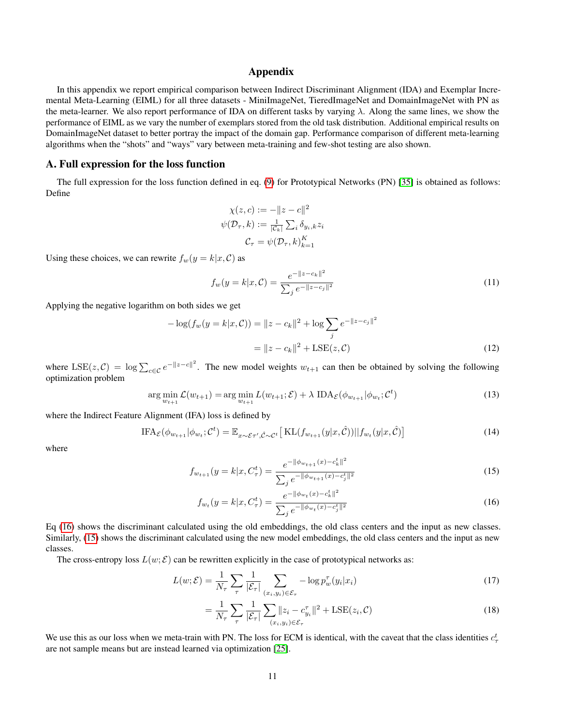## Appendix

In this appendix we report empirical comparison between Indirect Discriminant Alignment (IDA) and Exemplar Incremental Meta-Learning (EIML) for all three datasets - MiniImageNet, TieredImageNet and DomainImageNet with PN as the meta-learner. We also report performance of IDA on different tasks by varying  $\lambda$ . Along the same lines, we show the performance of EIML as we vary the number of exemplars stored from the old task distribution. Additional empirical results on DomainImageNet dataset to better portray the impact of the domain gap. Performance comparison of different meta-learning algorithms when the "shots" and "ways" vary between meta-training and few-shot testing are also shown.

## A. Full expression for the loss function

The full expression for the loss function defined in eq. [\(9\)](#page-3-4) for Prototypical Networks (PN) [\[35\]](#page-9-1) is obtained as follows: Define

$$
\chi(z, c) := -\|z - c\|^2
$$
  

$$
\psi(\mathcal{D}_{\tau}, k) := \frac{1}{|\mathcal{C}_k|} \sum_i \delta_{y_i, k} z_i
$$
  

$$
\mathcal{C}_{\tau} = \psi(\mathcal{D}_{\tau}, k)_{k=1}^K
$$

Using these choices, we can rewrite  $f_w(y = k|x, C)$  as

$$
f_w(y=k|x,\mathcal{C}) = \frac{e^{-\|z-c_k\|^2}}{\sum_j e^{-\|z-c_j\|^2}}
$$
\n(11)

Applying the negative logarithm on both sides we get

$$
-\log(f_w(y=k|x,\mathcal{C})) = \|z - c_k\|^2 + \log \sum_j e^{-\|z - c_j\|^2}
$$

$$
= \|z - c_k\|^2 + \text{LSE}(z,\mathcal{C}) \tag{12}
$$

where  $\text{LSE}(z, C) = \log \sum_{c \in C} e^{-\|z - c\|^2}$ . The new model weights  $w_{t+1}$  can then be obtained by solving the following optimization problem

$$
\arg\min_{w_{t+1}} \mathcal{L}(w_{t+1}) = \arg\min_{w_{t+1}} L(w_{t+1}; \mathcal{E}) + \lambda \text{ IDA}_{\mathcal{E}}(\phi_{w_{t+1}} | \phi_{w_t}; \mathcal{C}^t)
$$
\n(13)

where the Indirect Feature Alignment (IFA) loss is defined by

<span id="page-10-0"></span>
$$
\text{IFA}_{\mathcal{E}}(\phi_{w_{t+1}}|\phi_{w_t};\mathcal{C}^t) = \mathbb{E}_{x \sim \mathcal{E}\tau', \hat{\mathcal{C}} \sim \mathcal{C}^t} \left[ \text{KL}(f_{w_{t+1}}(y|x,\hat{\mathcal{C}})) || f_{w_t}(y|x,\hat{\mathcal{C}}) \right]
$$
(14)

where

$$
f_{w_{t+1}}(y=k|x, C^t_\tau) = \frac{e^{-\|\phi_{w_{t+1}}(x) - c^t_k\|^2}}{\sum_j e^{-\|\phi_{w_{t+1}}(x) - c^t_j\|^2}}
$$
(15)

<span id="page-10-2"></span><span id="page-10-1"></span>
$$
f_{w_t}(y=k|x, C^t_\tau) = \frac{e^{-\|\phi_{w_t}(x) - c^t_k\|^2}}{\sum_j e^{-\|\phi_{w_t}(x) - c^t_j\|^2}}
$$
(16)

Eq [\(16\)](#page-10-1) shows the discriminant calculated using the old embeddings, the old class centers and the input as new classes. Similarly, [\(15\)](#page-10-2) shows the discriminant calculated using the new model embeddings, the old class centers and the input as new classes.

The cross-entropy loss  $L(w; \mathcal{E})$  can be rewritten explicitly in the case of prototypical networks as:

$$
L(w; \mathcal{E}) = \frac{1}{N_{\tau}} \sum_{\tau} \frac{1}{|\mathcal{E}_{\tau}|} \sum_{(x_i, y_i) \in \mathcal{E}_{\tau}} - \log p_w^{\tau}(y_i | x_i)
$$
(17)

$$
= \frac{1}{N_{\tau}} \sum_{\tau} \frac{1}{|\mathcal{E}_{\tau}|} \sum_{(x_i, y_i) \in \mathcal{E}_{\tau}} ||z_i - c_{y_i}^{\tau}||^2 + \text{LSE}(z_i, \mathcal{C})
$$
\n(18)

We use this as our loss when we meta-train with PN. The loss for ECM is identical, with the caveat that the class identities  $c_{\tau}^t$ are not sample means but are instead learned via optimization [\[25\]](#page-9-2).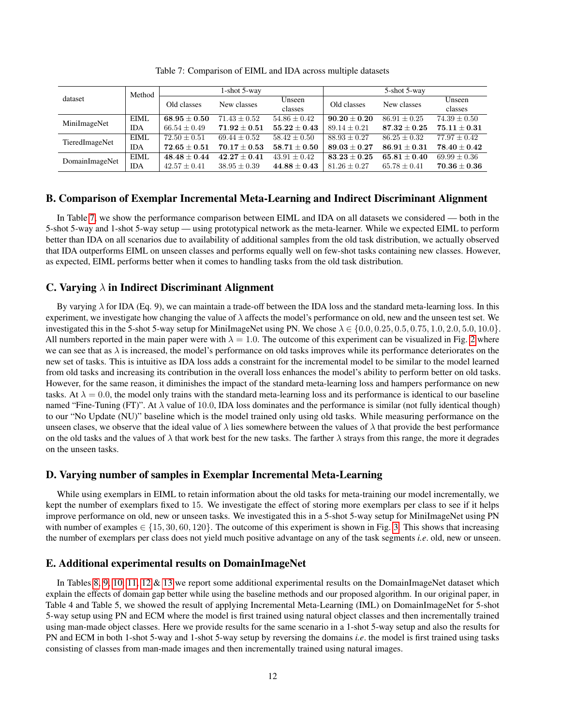<span id="page-11-0"></span>

|                | Method |                  | 1-shot 5-way     |                  | 5-shot 5-way     |                  |                  |
|----------------|--------|------------------|------------------|------------------|------------------|------------------|------------------|
| dataset        |        | Old classes      | New classes      | Unseen           | Old classes      | New classes      | Unseen           |
|                |        |                  |                  | classes          |                  |                  | classes          |
| MiniImageNet   | EIML   | $68.95\pm0.50$   | $71.43 + 0.52$   | $54.86 \pm 0.42$ | $90.20 + 0.20$   | $86.91 \pm 0.25$ | $74.39 \pm 0.50$ |
|                | IDA    | $66.54 \pm 0.49$ | $71.92\pm0.51$   | $55.22 + 0.43$   | $89.14 \pm 0.21$ | $87.32 + 0.25$   | $75.11 + 0.31$   |
| TieredImageNet | EIML   | $72.50 + 0.51$   | $69.44 + 0.52$   | $58.42 \pm 0.50$ | $88.93 \pm 0.27$ | $86.25 \pm 0.32$ | $77.97 + 0.42$   |
|                | IDA    | $72.65\pm0.51$   | $70.17 + 0.53$   | $58.71 + 0.50$   | $89.03\pm0.27$   | $86.91 + 0.31$   | $78.40 + 0.42$   |
| DomainImageNet | EIML   | $48.48 + 0.44$   | $42.27 + 0.41$   | $43.91 \pm 0.42$ | $83.23 + 0.25$   | $65.81\pm0.40$   | $69.99 \pm 0.36$ |
|                | IDA    | $42.57 \pm 0.41$ | $38.95 \pm 0.39$ | $44.88\pm0.43$   | $81.26 \pm 0.27$ | $65.78 \pm 0.41$ | $70.36 + 0.36$   |

Table 7: Comparison of EIML and IDA across multiple datasets

## B. Comparison of Exemplar Incremental Meta-Learning and Indirect Discriminant Alignment

In Table [7,](#page-11-0) we show the performance comparison between EIML and IDA on all datasets we considered — both in the 5-shot 5-way and 1-shot 5-way setup — using prototypical network as the meta-learner. While we expected EIML to perform better than IDA on all scenarios due to availability of additional samples from the old task distribution, we actually observed that IDA outperforms EIML on unseen classes and performs equally well on few-shot tasks containing new classes. However, as expected, EIML performs better when it comes to handling tasks from the old task distribution.

## C. Varying  $\lambda$  in Indirect Discriminant Alignment

By varying  $\lambda$  for IDA (Eq. 9), we can maintain a trade-off between the IDA loss and the standard meta-learning loss. In this experiment, we investigate how changing the value of  $\lambda$  affects the model's performance on old, new and the unseen test set. We investigated this in the 5-shot 5-way setup for MiniImageNet using PN. We chose  $\lambda \in \{0.0, 0.25, 0.5, 0.75, 1.0, 2.0, 5.0, 10.0\}$ . All numbers reported in the main paper were with  $\lambda = 1.0$ . The outcome of this experiment can be visualized in Fig. [2](#page-12-1) where we can see that as  $\lambda$  is increased, the model's performance on old tasks improves while its performance deteriorates on the new set of tasks. This is intuitive as IDA loss adds a constraint for the incremental model to be similar to the model learned from old tasks and increasing its contribution in the overall loss enhances the model's ability to perform better on old tasks. However, for the same reason, it diminishes the impact of the standard meta-learning loss and hampers performance on new tasks. At  $\lambda = 0.0$ , the model only trains with the standard meta-learning loss and its performance is identical to our baseline named "Fine-Tuning (FT)". At  $\lambda$  value of 10.0, IDA loss dominates and the performance is similar (not fully identical though) to our "No Update (NU)" baseline which is the model trained only using old tasks. While measuring performance on the unseen clases, we observe that the ideal value of  $\lambda$  lies somewhere between the values of  $\lambda$  that provide the best performance on the old tasks and the values of  $\lambda$  that work best for the new tasks. The farther  $\lambda$  strays from this range, the more it degrades on the unseen tasks.

## D. Varying number of samples in Exemplar Incremental Meta-Learning

While using exemplars in EIML to retain information about the old tasks for meta-training our model incrementally, we kept the number of exemplars fixed to 15. We investigate the effect of storing more exemplars per class to see if it helps improve performance on old, new or unseen tasks. We investigated this in a 5-shot 5-way setup for MiniImageNet using PN with number of examples  $\in \{15, 30, 60, 120\}$ . The outcome of this experiment is shown in Fig. [3.](#page-12-2) This shows that increasing the number of exemplars per class does not yield much positive advantage on any of the task segments *i.e*. old, new or unseen.

## E. Additional experimental results on DomainImageNet

In Tables [8,](#page-13-0) [9,](#page-13-1) [10,](#page-13-2) [11,](#page-13-3) [12](#page-14-0) & [13](#page-14-1) we report some additional experimental results on the DomainImageNet dataset which explain the effects of domain gap better while using the baseline methods and our proposed algorithm. In our original paper, in Table 4 and Table 5, we showed the result of applying Incremental Meta-Learning (IML) on DomainImageNet for 5-shot 5-way setup using PN and ECM where the model is first trained using natural object classes and then incrementally trained using man-made object classes. Here we provide results for the same scenario in a 1-shot 5-way setup and also the results for PN and ECM in both 1-shot 5-way and 1-shot 5-way setup by reversing the domains *i.e*. the model is first trained using tasks consisting of classes from man-made images and then incrementally trained using natural images.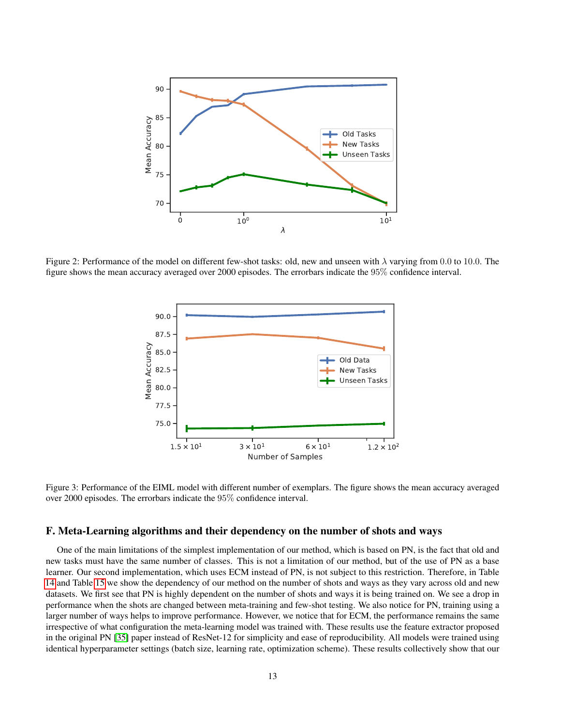<span id="page-12-1"></span>

<span id="page-12-2"></span>Figure 2: Performance of the model on different few-shot tasks: old, new and unseen with  $\lambda$  varying from 0.0 to 10.0. The figure shows the mean accuracy averaged over 2000 episodes. The errorbars indicate the 95% confidence interval.



Figure 3: Performance of the EIML model with different number of exemplars. The figure shows the mean accuracy averaged over 2000 episodes. The errorbars indicate the 95% confidence interval.

# <span id="page-12-0"></span>F. Meta-Learning algorithms and their dependency on the number of shots and ways

One of the main limitations of the simplest implementation of our method, which is based on PN, is the fact that old and new tasks must have the same number of classes. This is not a limitation of our method, but of the use of PN as a base learner. Our second implementation, which uses ECM instead of PN, is not subject to this restriction. Therefore, in Table [14](#page-14-2) and Table [15](#page-14-3) we show the dependency of our method on the number of shots and ways as they vary across old and new datasets. We first see that PN is highly dependent on the number of shots and ways it is being trained on. We see a drop in performance when the shots are changed between meta-training and few-shot testing. We also notice for PN, training using a larger number of ways helps to improve performance. However, we notice that for ECM, the performance remains the same irrespective of what configuration the meta-learning model was trained with. These results use the feature extractor proposed in the original PN [\[35\]](#page-9-1) paper instead of ResNet-12 for simplicity and ease of reproducibility. All models were trained using identical hyperparameter settings (batch size, learning rate, optimization scheme). These results collectively show that our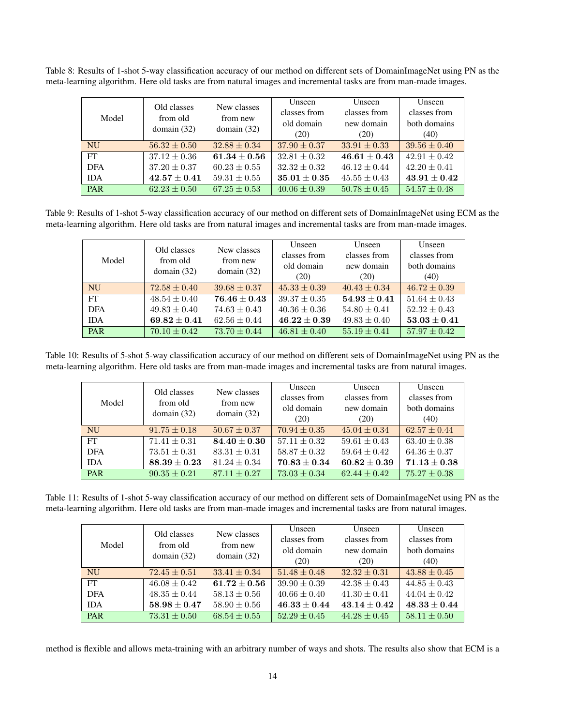<span id="page-13-0"></span>Table 8: Results of 1-shot 5-way classification accuracy of our method on different sets of DomainImageNet using PN as the meta-learning algorithm. Here old tasks are from natural images and incremental tasks are from man-made images.

| Model      | Old classes<br>from old<br>domain $(32)$ | New classes<br>from new<br>domain $(32)$ | Unseen<br>classes from<br>old domain<br>(20) | Unseen<br>classes from<br>new domain<br>(20) | Unseen<br>classes from<br>both domains<br>(40) |
|------------|------------------------------------------|------------------------------------------|----------------------------------------------|----------------------------------------------|------------------------------------------------|
| <b>NU</b>  | $56.32 + 0.50$                           | $32.88 + 0.34$                           | $37.90 \pm 0.37$                             | $33.91 + 0.33$                               | $39.56 \pm 0.40$                               |
| FT         | $37.12 + 0.36$                           | $61.34 + 0.56$                           | $32.81 + 0.32$                               | $46.61 + 0.43$                               | $42.91 + 0.42$                                 |
| <b>DFA</b> | $37.20 + 0.37$                           | $60.23 + 0.55$                           | $32.32 + 0.32$                               | $46.12 + 0.44$                               | $42.20 + 0.41$                                 |
| <b>IDA</b> | $42.57 \pm 0.41$                         | $59.31 + 0.55$                           | $35.01 \pm 0.35$                             | $45.55 \pm 0.43$                             | $43.91\pm0.42$                                 |
| <b>PAR</b> | $62.23 + 0.50$                           | $67.25 + 0.53$                           | $40.06 + 0.39$                               | $50.78 + 0.45$                               | $54.57 \pm 0.48$                               |

<span id="page-13-1"></span>Table 9: Results of 1-shot 5-way classification accuracy of our method on different sets of DomainImageNet using ECM as the meta-learning algorithm. Here old tasks are from natural images and incremental tasks are from man-made images.

| Model      | Old classes<br>from old<br>domain $(32)$ | New classes<br>from new<br>domain $(32)$ | Unseen<br>classes from<br>old domain<br>(20) | Unseen<br>classes from<br>new domain<br>(20) | Unseen<br>classes from<br>both domains<br>(40) |
|------------|------------------------------------------|------------------------------------------|----------------------------------------------|----------------------------------------------|------------------------------------------------|
| <b>NU</b>  | $72.58 \pm 0.40$                         | $39.68 + 0.37$                           | $45.33 \pm 0.39$                             | $40.43 \pm 0.34$                             | $46.72 \pm 0.39$                               |
| FT         | $48.54 + 0.40$                           | $76.46 + 0.43$                           | $39.37 + 0.35$                               | $54.93 + 0.41$                               | $51.64 + 0.43$                                 |
| <b>DFA</b> | $49.83 + 0.40$                           | $74.63 + 0.43$                           | $40.36 \pm 0.36$                             | $54.80 + 0.41$                               | $52.32 \pm 0.43$                               |
| <b>IDA</b> | $69.82 + 0.41$                           | $62.56 + 0.44$                           | $46.22 + 0.39$                               | $49.83 + 0.40$                               | $53.03 + 0.41$                                 |
| PAR        | $70.10 \pm 0.42$                         | $73.70 + 0.44$                           | $46.81 + 0.40$                               | $55.19 \pm 0.41$                             | $57.97 \pm 0.42$                               |

<span id="page-13-2"></span>Table 10: Results of 5-shot 5-way classification accuracy of our method on different sets of DomainImageNet using PN as the meta-learning algorithm. Here old tasks are from man-made images and incremental tasks are from natural images.

| Model      | Old classes<br>from old<br>domain $(32)$ | New classes<br>from new<br>domain $(32)$ | Unseen<br>classes from<br>old domain<br>(20) | Unseen<br>classes from<br>new domain<br>(20) | Unseen<br>classes from<br>both domains<br>(40) |
|------------|------------------------------------------|------------------------------------------|----------------------------------------------|----------------------------------------------|------------------------------------------------|
| <b>NU</b>  | $91.75 + 0.18$                           | $50.67 \pm 0.37$                         | $70.94 + 0.35$                               | $45.04 \pm 0.34$                             | $62.57 + 0.44$                                 |
| FT         | $71.41 + 0.31$                           | $84.40 + 0.30$                           | $57.11 + 0.32$                               | $59.61 + 0.43$                               | $63.40 + 0.38$                                 |
| <b>DFA</b> | $73.51 + 0.31$                           | $83.31 + 0.31$                           | $58.87 + 0.32$                               | $59.64 + 0.42$                               | $64.36 \pm 0.37$                               |
| <b>IDA</b> | $88.39 + 0.23$                           | $81.24 + 0.34$                           | $70.83 + 0.34$                               | $60.82 + 0.39$                               | $71.13 + 0.38$                                 |
| PAR        | $90.35 \pm 0.21$                         | $87.11 + 0.27$                           | $73.03 \pm 0.34$                             | $62.44 + 0.42$                               | $75.27 \pm 0.38$                               |

<span id="page-13-3"></span>Table 11: Results of 1-shot 5-way classification accuracy of our method on different sets of DomainImageNet using PN as the meta-learning algorithm. Here old tasks are from man-made images and incremental tasks are from natural images.

| Model      | Old classes<br>from old<br>domain $(32)$ | New classes<br>from new<br>domain $(32)$ | Unseen<br>classes from<br>old domain<br>(20) | Unseen<br>classes from<br>new domain<br>(20) | Unseen<br>classes from<br>both domains<br>(40) |
|------------|------------------------------------------|------------------------------------------|----------------------------------------------|----------------------------------------------|------------------------------------------------|
| <b>NU</b>  | $72.45 \pm 0.51$                         | $33.41 + 0.34$                           | $51.48 + 0.48$                               | $32.32 + 0.31$                               | $43.88 \pm 0.45$                               |
| FT         | $46.08 + 0.42$                           | $61.72 + 0.56$                           | $39.90 + 0.39$                               | $42.38 + 0.43$                               | $44.85 + 0.43$                                 |
| <b>DFA</b> | $48.35 + 0.44$                           | $58.13 + 0.56$                           | $40.66 + 0.40$                               | $41.30 + 0.41$                               | $44.04 \pm 0.42$                               |
| <b>IDA</b> | $58.98 + 0.47$                           | $58.90 + 0.56$                           | $46.33 + 0.44$                               | $43.14 + 0.42$                               | $48.33 + 0.44$                                 |
| <b>PAR</b> | $73.31 + 0.50$                           | $68.54 + 0.55$                           | $52.29 \pm 0.45$                             | $44.28 \pm 0.45$                             | $58.11 \pm 0.50$                               |

method is flexible and allows meta-training with an arbitrary number of ways and shots. The results also show that ECM is a